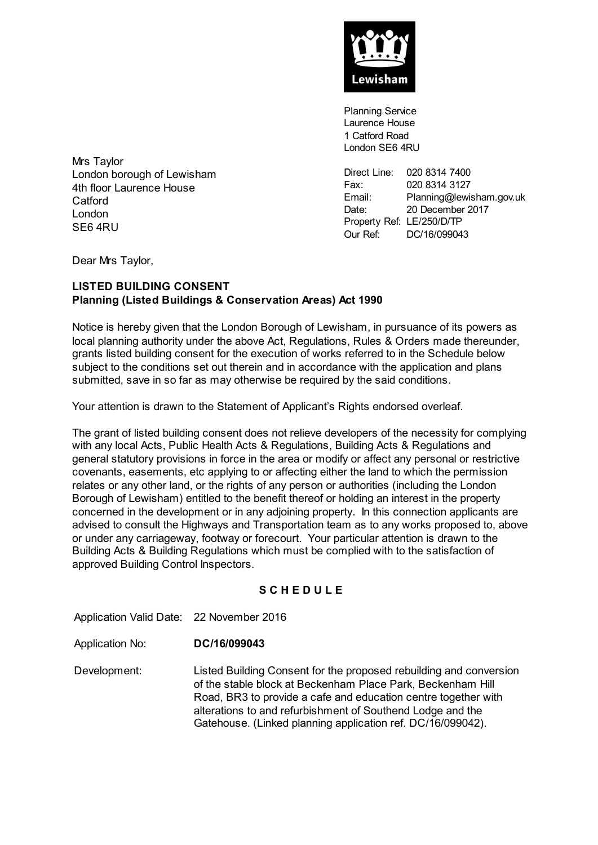

Planning Service Laurence House 1 Catford Road London SE6 4RU

Direct Line: 020 8314 7400<br>Fax: 020 8314 3127 020 8314 3127 Email: Planning@lewisham.gov.uk Date: 20 December 2017 Property Ref: LE/250/D/TP Our Ref: DC/16/099043

Mrs Taylor London borough of Lewisham 4th floor Laurence House **Catford** London SE6 4RU

Dear Mrs Taylor,

# **LISTED BUILDING CONSENT Planning (Listed Buildings & Conservation Areas) Act 1990**

Notice is hereby given that the London Borough of Lewisham, in pursuance of its powers as local planning authority under the above Act, Regulations, Rules & Orders made thereunder, grants listed building consent for the execution of works referred to in the Schedule below subject to the conditions set out therein and in accordance with the application and plans submitted, save in so far as may otherwise be required by the said conditions.

Your attention is drawn to the Statement of Applicant's Rights endorsed overleaf.

The grant of listed building consent does not relieve developers of the necessity for complying with any local Acts, Public Health Acts & Regulations, Building Acts & Regulations and general statutory provisions in force in the area or modify or affect any personal or restrictive covenants, easements, etc applying to or affecting either the land to which the permission relates or any other land, or the rights of any person or authorities (including the London Borough of Lewisham) entitled to the benefit thereof or holding an interest in the property concerned in the development or in any adjoining property. In this connection applicants are advised to consult the Highways and Transportation team as to any works proposed to, above or under any carriageway, footway or forecourt. Your particular attention is drawn to the Building Acts & Building Regulations which must be complied with to the satisfaction of approved Building Control Inspectors.

## **S C H E D U L E**

Application Valid Date: 22 November 2016

Application No: **DC/16/099043**

Development: Listed Building Consent for the proposed rebuilding and conversion of the stable block at Beckenham Place Park, Beckenham Hill Road, BR3 to provide a cafe and education centre together with alterations to and refurbishment of Southend Lodge and the Gatehouse. (Linked planning application ref. DC/16/099042).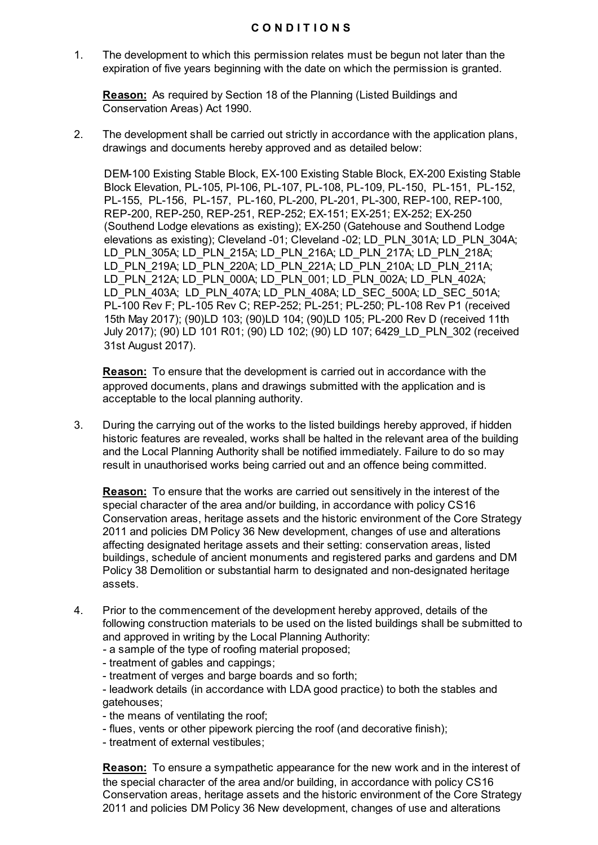#### **C O N D I T I O N S**

1. The development to which this permission relates must be begun not later than the expiration of five years beginning with the date on which the permission is granted.

**Reason:** As required by Section 18 of the Planning (Listed Buildings and Conservation Areas) Act 1990.

2. The development shall be carried out strictly in accordance with the application plans, drawings and documents hereby approved and as detailed below:

DEM-100 Existing Stable Block, EX-100 Existing Stable Block, EX-200 Existing Stable Block Elevation, PL-105, Pl-106, PL-107, PL-108, PL-109, PL-150, PL-151, PL-152, PL-155, PL-156, PL-157, PL-160, PL-200, PL-201, PL-300, REP-100, REP-100, REP-200, REP-250, REP-251, REP-252; EX-151; EX-251; EX-252; EX-250 (Southend Lodge elevations as existing); EX-250 (Gatehouse and Southend Lodge elevations as existing); Cleveland -01; Cleveland -02; LD\_PLN\_301A; LD\_PLN\_304A; LD\_PLN\_305A; LD\_PLN\_215A; LD\_PLN\_216A; LD\_PLN\_217A; LD\_PLN\_218A; LD\_PLN\_219A; LD\_PLN\_220A; LD\_PLN\_221A; LD\_PLN\_210A; LD\_PLN\_211A; LD\_PLN\_212A; LD\_PLN\_000A; LD\_PLN\_001; LD\_PLN\_002A; LD\_PLN\_402A; LD\_PLN\_403A; LD\_PLN\_407A; LD\_PLN\_408A; LD\_SEC\_500A; LD\_SEC\_501A; PL-100 Rev F; PL-105 Rev C; REP-252; PL-251; PL-250; PL-108 Rev P1 (received 15th May 2017); (90)LD 103; (90)LD 104; (90)LD 105; PL-200 Rev D (received 11th July 2017); (90) LD 101 R01; (90) LD 102; (90) LD 107; 6429\_LD\_PLN\_302 (received 31st August 2017).

**Reason:** To ensure that the development is carried out in accordance with the approved documents, plans and drawings submitted with the application and is acceptable to the local planning authority.

3. During the carrying out of the works to the listed buildings hereby approved, if hidden historic features are revealed, works shall be halted in the relevant area of the building and the Local Planning Authority shall be notified immediately. Failure to do so may result in unauthorised works being carried out and an offence being committed.

**Reason:** To ensure that the works are carried out sensitively in the interest of the special character of the area and/or building, in accordance with policy CS16 Conservation areas, heritage assets and the historic environment of the Core Strategy 2011 and policies DM Policy 36 New development, changes of use and alterations affecting designated heritage assets and their setting: conservation areas, listed buildings, schedule of ancient monuments and registered parks and gardens and DM Policy 38 Demolition or substantial harm to designated and non-designated heritage assets.

- 4. Prior to the commencement of the development hereby approved, details of the following construction materials to be used on the listed buildings shall be submitted to and approved in writing by the Local Planning Authority:
	- *-* a sample of the type of roofing material proposed;
	- treatment of gables and cappings;
	- treatment of verges and barge boards and so forth;
	- leadwork details (in accordance with LDA good practice) to both the stables and gatehouses;
	- the means of ventilating the roof;
	- flues, vents or other pipework piercing the roof (and decorative finish);
	- treatment of external vestibules;

**Reason:** To ensure a sympathetic appearance for the new work and in the interest of the special character of the area and/or building, in accordance with policy CS16 Conservation areas, heritage assets and the historic environment of the Core Strategy 2011 and policies DM Policy 36 New development, changes of use and alterations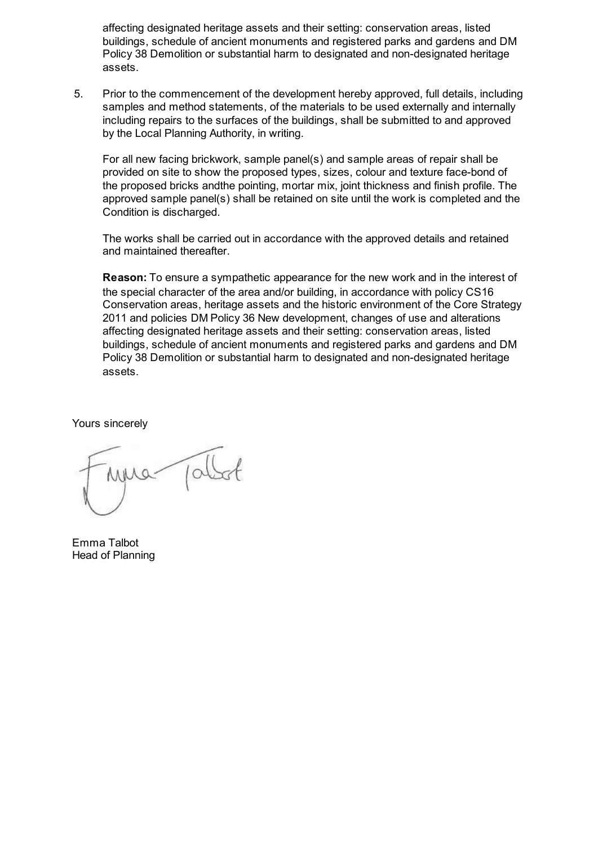affecting designated heritage assets and their setting: conservation areas, listed buildings, schedule of ancient monuments and registered parks and gardens and DM Policy 38 Demolition or substantial harm to designated and non-designated heritage assets.

5. Prior to the commencement of the development hereby approved, full details, including samples and method statements, of the materials to be used externally and internally including repairs to the surfaces of the buildings, shall be submitted to and approved by the Local Planning Authority, in writing.

For all new facing brickwork, sample panel(s) and sample areas of repair shall be provided on site to show the proposed types, sizes, colour and texture face-bond of the proposed bricks andthe pointing, mortar mix, joint thickness and finish profile. The approved sample panel(s) shall be retained on site until the work is completed and the Condition is discharged.

The works shall be carried out in accordance with the approved details and retained and maintained thereafter

**Reason:** To ensure a sympathetic appearance for the new work and in the interest of the special character of the area and/or building, in accordance with policy CS16 Conservation areas, heritage assets and the historic environment of the Core Strategy 2011 and policies DM Policy 36 New development, changes of use and alterations affecting designated heritage assets and their setting: conservation areas, listed buildings, schedule of ancient monuments and registered parks and gardens and DM Policy 38 Demolition or substantial harm to designated and non-designated heritage assets.

Yours sincerely

La

Emma Talbot Head of Planning